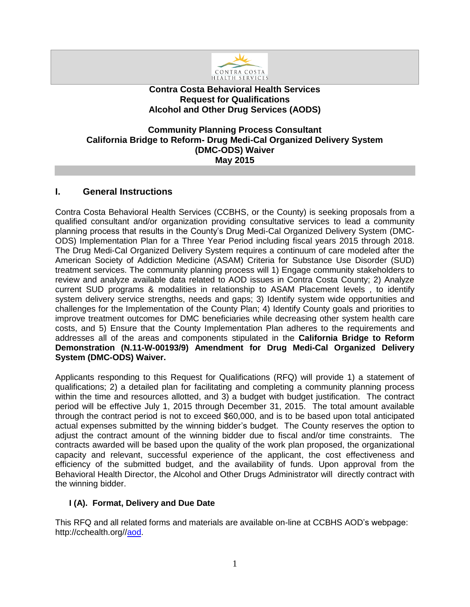

### **Contra Costa Behavioral Health Services Request for Qualifications Alcohol and Other Drug Services (AODS)**

### **Community Planning Process Consultant California Bridge to Reform- Drug Medi-Cal Organized Delivery System (DMC-ODS) Waiver May 2015**

# **I. General Instructions**

Contra Costa Behavioral Health Services (CCBHS, or the County) is seeking proposals from a qualified consultant and/or organization providing consultative services to lead a community planning process that results in the County's Drug Medi-Cal Organized Delivery System (DMC-ODS) Implementation Plan for a Three Year Period including fiscal years 2015 through 2018. The Drug Medi-Cal Organized Delivery System requires a continuum of care modeled after the American Society of Addiction Medicine (ASAM) Criteria for Substance Use Disorder (SUD) treatment services. The community planning process will 1) Engage community stakeholders to review and analyze available data related to AOD issues in Contra Costa County; 2) Analyze current SUD programs & modalities in relationship to ASAM Placement levels , to identify system delivery service strengths, needs and gaps; 3) Identify system wide opportunities and challenges for the Implementation of the County Plan; 4) Identify County goals and priorities to improve treatment outcomes for DMC beneficiaries while decreasing other system health care costs, and 5) Ensure that the County Implementation Plan adheres to the requirements and addresses all of the areas and components stipulated in the **California Bridge to Reform Demonstration (N.11-W-00193/9) Amendment for Drug Medi-Cal Organized Delivery System (DMC-ODS) Waiver.**

Applicants responding to this Request for Qualifications (RFQ) will provide 1) a statement of qualifications; 2) a detailed plan for facilitating and completing a community planning process within the time and resources allotted, and 3) a budget with budget justification. The contract period will be effective July 1, 2015 through December 31, 2015. The total amount available through the contract period is not to exceed \$60,000, and is to be based upon total anticipated actual expenses submitted by the winning bidder's budget. The County reserves the option to adjust the contract amount of the winning bidder due to fiscal and/or time constraints. The contracts awarded will be based upon the quality of the work plan proposed, the organizational capacity and relevant, successful experience of the applicant, the cost effectiveness and efficiency of the submitted budget, and the availability of funds. Upon approval from the Behavioral Health Director, the Alcohol and Other Drugs Administrator will directly contract with the winning bidder.

### **I (A). Format, Delivery and Due Date**

This RFQ and all related forms and materials are available on-line at CCBHS AOD's webpage: http://cchealth.org//aod.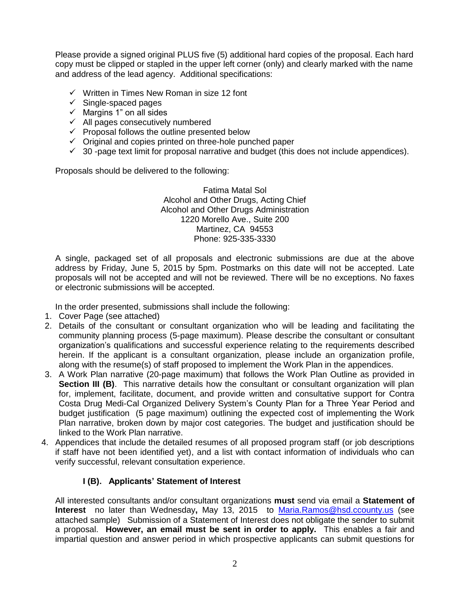Please provide a signed original PLUS five (5) additional hard copies of the proposal. Each hard copy must be clipped or stapled in the upper left corner (only) and clearly marked with the name and address of the lead agency. Additional specifications:

- $\checkmark$  Written in Times New Roman in size 12 font
- $\checkmark$  Single-spaced pages
- $\times$  Margins 1" on all sides
- $\checkmark$  All pages consecutively numbered
- $\checkmark$  Proposal follows the outline presented below
- $\checkmark$  Original and copies printed on three-hole punched paper
- $\checkmark$  30 -page text limit for proposal narrative and budget (this does not include appendices).

Proposals should be delivered to the following:

Fatima Matal Sol Alcohol and Other Drugs, Acting Chief Alcohol and Other Drugs Administration 1220 Morello Ave., Suite 200 Martinez, CA 94553 Phone: 925-335-3330

A single, packaged set of all proposals and electronic submissions are due at the above address by Friday, June 5, 2015 by 5pm. Postmarks on this date will not be accepted. Late proposals will not be accepted and will not be reviewed. There will be no exceptions. No faxes or electronic submissions will be accepted.

In the order presented, submissions shall include the following:

- 1. Cover Page (see attached)
- 2. Details of the consultant or consultant organization who will be leading and facilitating the community planning process (5-page maximum). Please describe the consultant or consultant organization's qualifications and successful experience relating to the requirements described herein. If the applicant is a consultant organization, please include an organization profile, along with the resume(s) of staff proposed to implement the Work Plan in the appendices.
- 3. A Work Plan narrative (20-page maximum) that follows the Work Plan Outline as provided in **Section III (B)**. This narrative details how the consultant or consultant organization will plan for, implement, facilitate, document, and provide written and consultative support for Contra Costa Drug Medi-Cal Organized Delivery System's County Plan for a Three Year Period and budget justification (5 page maximum) outlining the expected cost of implementing the Work Plan narrative, broken down by major cost categories. The budget and justification should be linked to the Work Plan narrative.
- 4. Appendices that include the detailed resumes of all proposed program staff (or job descriptions if staff have not been identified yet), and a list with contact information of individuals who can verify successful, relevant consultation experience.

# **I (B). Applicants' Statement of Interest**

All interested consultants and/or consultant organizations **must** send via email a **Statement of Interest** no later than Wednesday**,** May 13, 2015 to [Maria.Ramos@hsd.ccounty.us](mailto:Maria.Ramos@hsd.ccounty.us) (see attached sample) Submission of a Statement of Interest does not obligate the sender to submit a proposal. **However, an email must be sent in order to apply.** This enables a fair and impartial question and answer period in which prospective applicants can submit questions for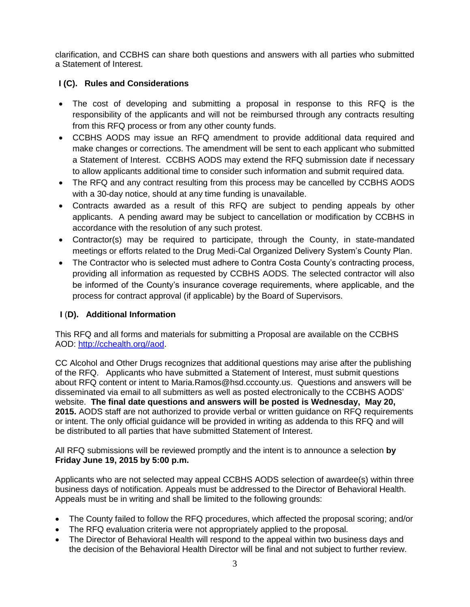clarification, and CCBHS can share both questions and answers with all parties who submitted a Statement of Interest.

### **I (C). Rules and Considerations**

- The cost of developing and submitting a proposal in response to this RFQ is the responsibility of the applicants and will not be reimbursed through any contracts resulting from this RFQ process or from any other county funds.
- CCBHS AODS may issue an RFQ amendment to provide additional data required and make changes or corrections. The amendment will be sent to each applicant who submitted a Statement of Interest. CCBHS AODS may extend the RFQ submission date if necessary to allow applicants additional time to consider such information and submit required data.
- The RFQ and any contract resulting from this process may be cancelled by CCBHS AODS with a 30-day notice, should at any time funding is unavailable.
- Contracts awarded as a result of this RFQ are subject to pending appeals by other applicants. A pending award may be subject to cancellation or modification by CCBHS in accordance with the resolution of any such protest.
- Contractor(s) may be required to participate, through the County, in state-mandated meetings or efforts related to the Drug Medi-Cal Organized Delivery System's County Plan.
- The Contractor who is selected must adhere to Contra Costa County's contracting process, providing all information as requested by CCBHS AODS. The selected contractor will also be informed of the County's insurance coverage requirements, where applicable, and the process for contract approval (if applicable) by the Board of Supervisors.

# **I** (**D). Additional Information**

This RFQ and all forms and materials for submitting a Proposal are available on the CCBHS AOD: [http://cchealth.org//a](http://cchealth.org/)od.

CC Alcohol and Other Drugs recognizes that additional questions may arise after the publishing of the RFQ. Applicants who have submitted a Statement of Interest, must submit questions about RFQ content or intent to Maria.Ramos@hsd.cccounty.us. Questions and answers will be disseminated via email to all submitters as well as posted electronically to the CCBHS AODS' website. **The final date questions and answers will be posted is Wednesday, May 20, 2015.** AODS staff are not authorized to provide verbal or written guidance on RFQ requirements or intent. The only official guidance will be provided in writing as addenda to this RFQ and will be distributed to all parties that have submitted Statement of Interest.

All RFQ submissions will be reviewed promptly and the intent is to announce a selection **by Friday June 19, 2015 by 5:00 p.m.** 

Applicants who are not selected may appeal CCBHS AODS selection of awardee(s) within three business days of notification. Appeals must be addressed to the Director of Behavioral Health. Appeals must be in writing and shall be limited to the following grounds:

- The County failed to follow the RFQ procedures, which affected the proposal scoring; and/or
- The RFQ evaluation criteria were not appropriately applied to the proposal.
- The Director of Behavioral Health will respond to the appeal within two business days and the decision of the Behavioral Health Director will be final and not subject to further review.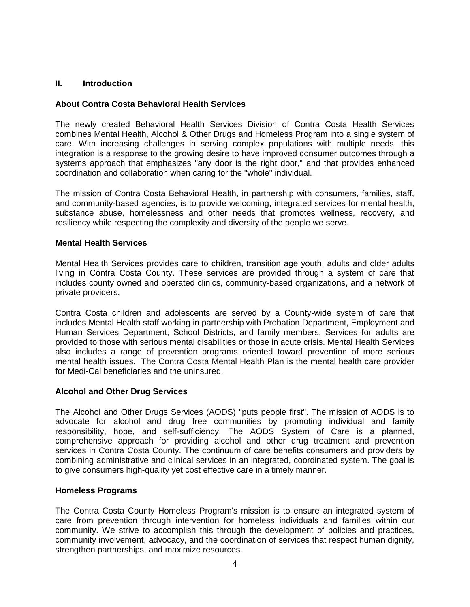#### **II. Introduction**

#### **About Contra Costa Behavioral Health Services**

The newly created Behavioral Health Services Division of Contra Costa Health Services combines [Mental Health,](http://cchealth.org/services/mental_health/) [Alcohol & Other Drugs](http://cchealth.org/groups/alcohol_and_drugs/) and [Homeless Program](http://cchealth.org/services/homeless/) into a single system of care. With increasing challenges in serving complex populations with multiple needs, this integration is a response to the growing desire to have improved consumer outcomes through a systems approach that emphasizes "any door is the right door," and that provides enhanced coordination and collaboration when caring for the "whole" individual.

The mission of Contra Costa Behavioral Health, in partnership with consumers, families, staff, and community-based agencies, is to provide welcoming, integrated services for mental health, substance abuse, homelessness and other needs that promotes wellness, recovery, and resiliency while respecting the complexity and diversity of the people we serve.

#### **Mental Health Services**

Mental Health Services provides care to children, transition age youth, adults and older adults living in Contra Costa County. These services are provided through a system of care that includes county owned and operated clinics, community-based organizations, and a network of private providers.

Contra Costa children and adolescents are served by a County-wide system of care that includes Mental Health staff working in partnership with Probation Department, Employment and Human Services Department, School Districts, and family members. Services for adults are provided to those with serious mental disabilities or those in acute crisis. Mental Health Services also includes a range of prevention programs oriented toward prevention of more serious mental health issues. The Contra Costa Mental Health Plan is the mental health care provider for Medi-Cal beneficiaries and the uninsured.

#### **Alcohol and Other Drug Services**

The Alcohol and Other Drugs Services (AODS) "puts people first". The mission of AODS is to advocate for alcohol and drug free communities by promoting individual and family responsibility, hope, and self-sufficiency. The AODS System of Care is a planned, comprehensive approach for providing alcohol and other drug treatment and prevention services in Contra Costa County. The continuum of care benefits consumers and providers by combining administrative and clinical services in an integrated, coordinated system. The goal is to give consumers high-quality yet cost effective care in a timely manner.

#### **Homeless Programs**

The Contra Costa County Homeless Program's mission is to ensure an integrated system of care from prevention through intervention for homeless individuals and families within our community. We strive to accomplish this through the development of policies and practices, community involvement, advocacy, and the coordination of services that respect human dignity, strengthen partnerships, and maximize resources.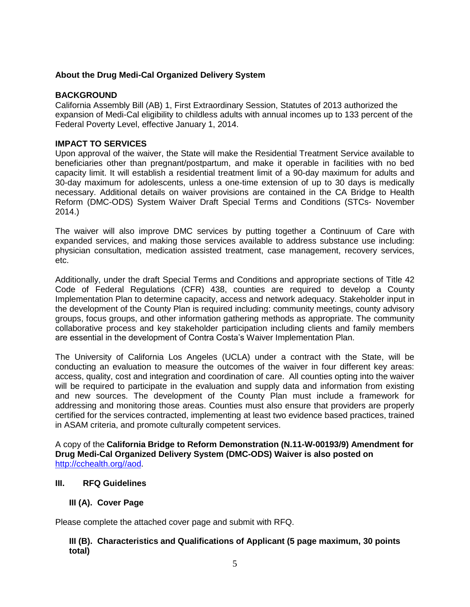### **About the Drug Medi-Cal Organized Delivery System**

### **BACKGROUND**

California Assembly Bill (AB) 1, First Extraordinary Session, Statutes of 2013 authorized the expansion of Medi-Cal eligibility to childless adults with annual incomes up to 133 percent of the Federal Poverty Level, effective January 1, 2014.

#### **IMPACT TO SERVICES**

Upon approval of the waiver, the State will make the Residential Treatment Service available to beneficiaries other than pregnant/postpartum, and make it operable in facilities with no bed capacity limit. It will establish a residential treatment limit of a 90-day maximum for adults and 30-day maximum for adolescents, unless a one-time extension of up to 30 days is medically necessary. Additional details on waiver provisions are contained in the CA Bridge to Health Reform (DMC-ODS) System Waiver Draft Special Terms and Conditions (STCs- November 2014.)

The waiver will also improve DMC services by putting together a Continuum of Care with expanded services, and making those services available to address substance use including: physician consultation, medication assisted treatment, case management, recovery services, etc.

Additionally, under the draft Special Terms and Conditions and appropriate sections of Title 42 Code of Federal Regulations (CFR) 438, counties are required to develop a County Implementation Plan to determine capacity, access and network adequacy. Stakeholder input in the development of the County Plan is required including: community meetings, county advisory groups, focus groups, and other information gathering methods as appropriate. The community collaborative process and key stakeholder participation including clients and family members are essential in the development of Contra Costa's Waiver Implementation Plan.

The University of California Los Angeles (UCLA) under a contract with the State, will be conducting an evaluation to measure the outcomes of the waiver in four different key areas: access, quality, cost and integration and coordination of care. All counties opting into the waiver will be required to participate in the evaluation and supply data and information from existing and new sources. The development of the County Plan must include a framework for addressing and monitoring those areas. Counties must also ensure that providers are properly certified for the services contracted, implementing at least two evidence based practices, trained in ASAM criteria, and promote culturally competent services.

A copy of the **California Bridge to Reform Demonstration (N.11-W-00193/9) Amendment for Drug Medi-Cal Organized Delivery System (DMC-ODS) Waiver is also posted on**  [http://cchealth.org//a](http://cchealth.org/)od.

#### **III. RFQ Guidelines**

### **III (A). Cover Page**

Please complete the attached cover page and submit with RFQ.

### **III (B). Characteristics and Qualifications of Applicant (5 page maximum, 30 points total)**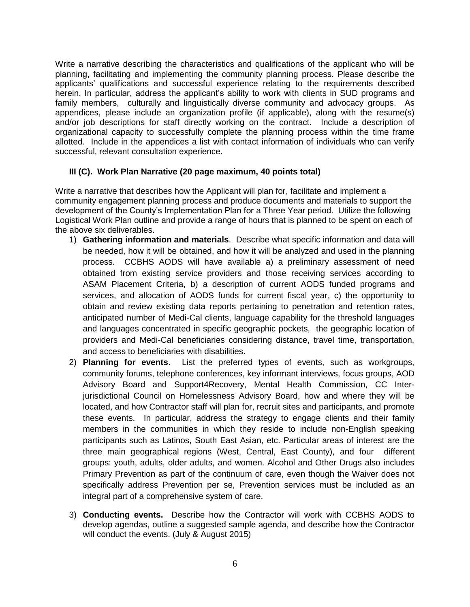Write a narrative describing the characteristics and qualifications of the applicant who will be planning, facilitating and implementing the community planning process. Please describe the applicants' qualifications and successful experience relating to the requirements described herein. In particular, address the applicant's ability to work with clients in SUD programs and family members, culturally and linguistically diverse community and advocacy groups. As appendices, please include an organization profile (if applicable), along with the resume(s) and/or job descriptions for staff directly working on the contract. Include a description of organizational capacity to successfully complete the planning process within the time frame allotted. Include in the appendices a list with contact information of individuals who can verify successful, relevant consultation experience.

### **III (C). Work Plan Narrative (20 page maximum, 40 points total)**

Write a narrative that describes how the Applicant will plan for, facilitate and implement a community engagement planning process and produce documents and materials to support the development of the County's Implementation Plan for a Three Year period. Utilize the following Logistical Work Plan outline and provide a range of hours that is planned to be spent on each of the above six deliverables.

- 1) **Gathering information and materials**. Describe what specific information and data will be needed, how it will be obtained, and how it will be analyzed and used in the planning process. CCBHS AODS will have available a) a preliminary assessment of need obtained from existing service providers and those receiving services according to ASAM Placement Criteria, b) a description of current AODS funded programs and services, and allocation of AODS funds for current fiscal year, c) the opportunity to obtain and review existing data reports pertaining to penetration and retention rates, anticipated number of Medi-Cal clients, language capability for the threshold languages and languages concentrated in specific geographic pockets, the geographic location of providers and Medi-Cal beneficiaries considering distance, travel time, transportation, and access to beneficiaries with disabilities.
- 2) **Planning for events**. List the preferred types of events, such as workgroups, community forums, telephone conferences, key informant interviews, focus groups, AOD Advisory Board and Support4Recovery, Mental Health Commission, CC Interjurisdictional Council on Homelessness Advisory Board, how and where they will be located, and how Contractor staff will plan for, recruit sites and participants, and promote these events. In particular, address the strategy to engage clients and their family members in the communities in which they reside to include non-English speaking participants such as Latinos, South East Asian, etc. Particular areas of interest are the three main geographical regions (West, Central, East County), and four different groups: youth, adults, older adults, and women. Alcohol and Other Drugs also includes Primary Prevention as part of the continuum of care, even though the Waiver does not specifically address Prevention per se, Prevention services must be included as an integral part of a comprehensive system of care.
- 3) **Conducting events.** Describe how the Contractor will work with CCBHS AODS to develop agendas, outline a suggested sample agenda, and describe how the Contractor will conduct the events. (July & August 2015)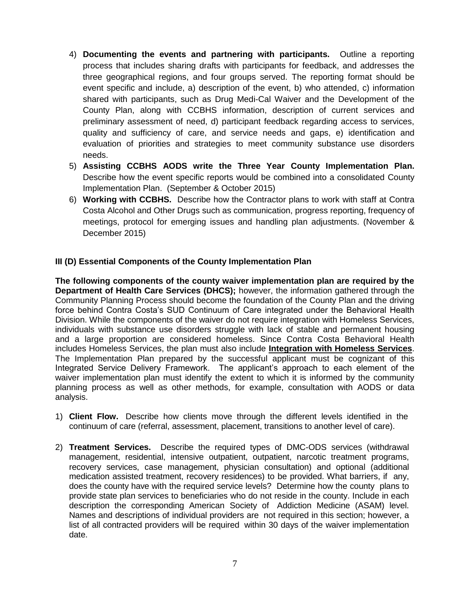- 4) **Documenting the events and partnering with participants.** Outline a reporting process that includes sharing drafts with participants for feedback, and addresses the three geographical regions, and four groups served. The reporting format should be event specific and include, a) description of the event, b) who attended, c) information shared with participants, such as Drug Medi-Cal Waiver and the Development of the County Plan, along with CCBHS information, description of current services and preliminary assessment of need, d) participant feedback regarding access to services, quality and sufficiency of care, and service needs and gaps, e) identification and evaluation of priorities and strategies to meet community substance use disorders needs.
- 5) **Assisting CCBHS AODS write the Three Year County Implementation Plan.**  Describe how the event specific reports would be combined into a consolidated County Implementation Plan. (September & October 2015)
- 6) **Working with CCBHS.** Describe how the Contractor plans to work with staff at Contra Costa Alcohol and Other Drugs such as communication, progress reporting, frequency of meetings, protocol for emerging issues and handling plan adjustments. (November & December 2015)

### **III (D) Essential Components of the County Implementation Plan**

**The following components of the county waiver implementation plan are required by the Department of Health Care Services (DHCS);** however, the information gathered through the Community Planning Process should become the foundation of the County Plan and the driving force behind Contra Costa's SUD Continuum of Care integrated under the Behavioral Health Division. While the components of the waiver do not require integration with Homeless Services, individuals with substance use disorders struggle with lack of stable and permanent housing and a large proportion are considered homeless. Since Contra Costa Behavioral Health includes Homeless Services, the plan must also include **Integration with Homeless Services**. The Implementation Plan prepared by the successful applicant must be cognizant of this Integrated Service Delivery Framework. The applicant's approach to each element of the waiver implementation plan must identify the extent to which it is informed by the community planning process as well as other methods, for example, consultation with AODS or data analysis.

- 1) **Client Flow.** Describe how clients move through the different levels identified in the continuum of care (referral, assessment, placement, transitions to another level of care).
- 2) **Treatment Services.** Describe the required types of DMC-ODS services (withdrawal management, residential, intensive outpatient, outpatient, narcotic treatment programs, recovery services, case management, physician consultation) and optional (additional medication assisted treatment, recovery residences) to be provided. What barriers, if any, does the county have with the required service levels? Determine how the county plans to provide state plan services to beneficiaries who do not reside in the county. Include in each description the corresponding American Society of Addiction Medicine (ASAM) level. Names and descriptions of individual providers are not required in this section; however, a list of all contracted providers will be required within 30 days of the waiver implementation date.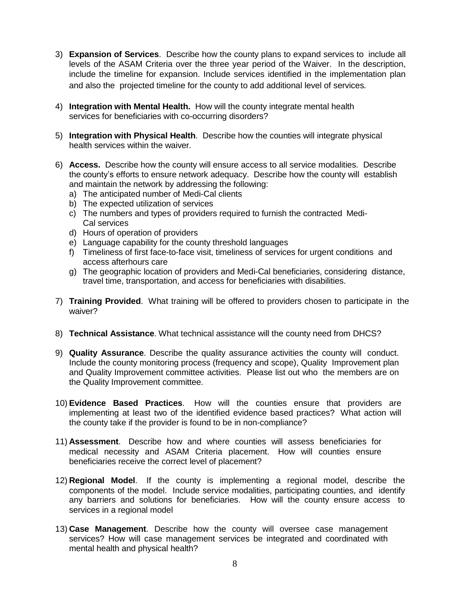- 3) **Expansion of Services**. Describe how the county plans to expand services to include all levels of the ASAM Criteria over the three year period of the Waiver. In the description, include the timeline for expansion. Include services identified in the implementation plan and also the projected timeline for the county to add additional level of services*.*
- 4) **Integration with Mental Health.** How will the county integrate mental health services for beneficiaries with co-occurring disorders?
- 5) **Integration with Physical Health**. Describe how the counties will integrate physical health services within the waiver.
- 6) **Access.** Describe how the county will ensure access to all service modalities. Describe the county's efforts to ensure network adequacy. Describe how the county will establish and maintain the network by addressing the following:
	- a) The anticipated number of Medi-Cal clients
	- b) The expected utilization of services
	- c) The numbers and types of providers required to furnish the contracted Medi-Cal services
	- d) Hours of operation of providers
	- e) Language capability for the county threshold languages
	- f) Timeliness of first face-to-face visit, timeliness of services for urgent conditions and access afterhours care
	- g) The geographic location of providers and Medi-Cal beneficiaries, considering distance, travel time, transportation, and access for beneficiaries with disabilities.
- 7) **Training Provided**. What training will be offered to providers chosen to participate in the waiver?
- 8) **Technical Assistance**. What technical assistance will the county need from DHCS?
- 9) **Quality Assurance**. Describe the quality assurance activities the county will conduct. Include the county monitoring process (frequency and scope), Quality Improvement plan and Quality Improvement committee activities. Please list out who the members are on the Quality Improvement committee.
- 10) **Evidence Based Practices**. How will the counties ensure that providers are implementing at least two of the identified evidence based practices? What action will the county take if the provider is found to be in non-compliance?
- 11) **Assessment**. Describe how and where counties will assess beneficiaries for medical necessity and ASAM Criteria placement. How will counties ensure beneficiaries receive the correct level of placement?
- 12) **Regional Model**. If the county is implementing a regional model, describe the components of the model. Include service modalities, participating counties, and identify any barriers and solutions for beneficiaries. How will the county ensure access to services in a regional model
- 13) **Case Management**. Describe how the county will oversee case management services? How will case management services be integrated and coordinated with mental health and physical health?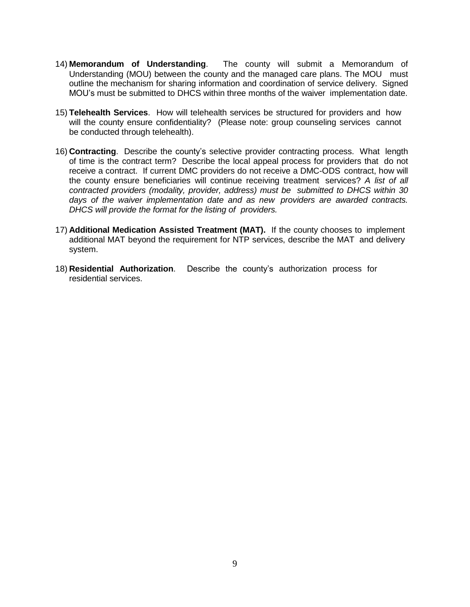- 14) **Memorandum of Understanding**. The county will submit a Memorandum of Understanding (MOU) between the county and the managed care plans. The MOU must outline the mechanism for sharing information and coordination of service delivery. Signed MOU's must be submitted to DHCS within three months of the waiver implementation date.
- 15) **Telehealth Services**. How will telehealth services be structured for providers and how will the county ensure confidentiality? (Please note: group counseling services cannot be conducted through telehealth).
- 16) **Contracting**. Describe the county's selective provider contracting process. What length of time is the contract term? Describe the local appeal process for providers that do not receive a contract. If current DMC providers do not receive a DMC-ODS contract, how will the county ensure beneficiaries will continue receiving treatment services? *A list of all contracted providers (modality, provider, address) must be submitted to DHCS within 30 days of the waiver implementation date and as new providers are awarded contracts. DHCS will provide the format for the listing of providers.*
- 17) **Additional Medication Assisted Treatment (MAT).** If the county chooses to implement additional MAT beyond the requirement for NTP services, describe the MAT and delivery system.
- 18) **Residential Authorization**. Describe the county's authorization process for residential services.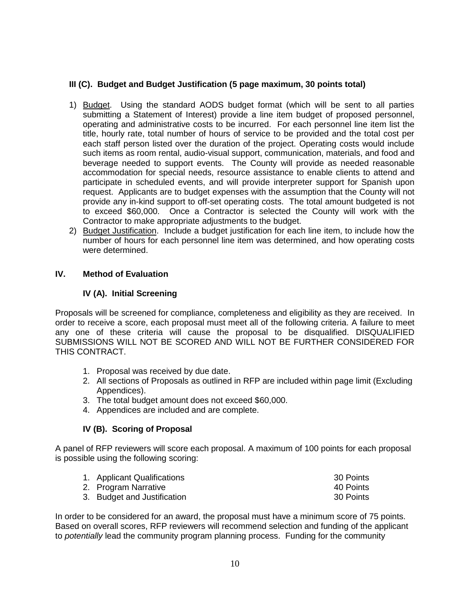# **III (C). Budget and Budget Justification (5 page maximum, 30 points total)**

- 1) Budget. Using the standard AODS budget format (which will be sent to all parties submitting a Statement of Interest) provide a line item budget of proposed personnel, operating and administrative costs to be incurred. For each personnel line item list the title, hourly rate, total number of hours of service to be provided and the total cost per each staff person listed over the duration of the project. Operating costs would include such items as room rental, audio-visual support, communication, materials, and food and beverage needed to support events. The County will provide as needed reasonable accommodation for special needs, resource assistance to enable clients to attend and participate in scheduled events, and will provide interpreter support for Spanish upon request. Applicants are to budget expenses with the assumption that the County will not provide any in-kind support to off-set operating costs. The total amount budgeted is not to exceed \$60,000. Once a Contractor is selected the County will work with the Contractor to make appropriate adjustments to the budget.
- 2) Budget Justification. Include a budget justification for each line item, to include how the number of hours for each personnel line item was determined, and how operating costs were determined.

# **IV. Method of Evaluation**

# **IV (A). Initial Screening**

Proposals will be screened for compliance, completeness and eligibility as they are received. In order to receive a score, each proposal must meet all of the following criteria. A failure to meet any one of these criteria will cause the proposal to be disqualified. DISQUALIFIED SUBMISSIONS WILL NOT BE SCORED AND WILL NOT BE FURTHER CONSIDERED FOR THIS CONTRACT.

- 1. Proposal was received by due date.
- 2. All sections of Proposals as outlined in RFP are included within page limit (Excluding Appendices).
- 3. The total budget amount does not exceed \$60,000.
- 4. Appendices are included and are complete.

# **IV (B). Scoring of Proposal**

A panel of RFP reviewers will score each proposal. A maximum of 100 points for each proposal is possible using the following scoring:

| 1. Applicant Qualifications | 30 Points |
|-----------------------------|-----------|
| 2. Program Narrative        | 40 Points |
| 3. Budget and Justification | 30 Points |

In order to be considered for an award, the proposal must have a minimum score of 75 points. Based on overall scores, RFP reviewers will recommend selection and funding of the applicant to *potentially* lead the community program planning process. Funding for the community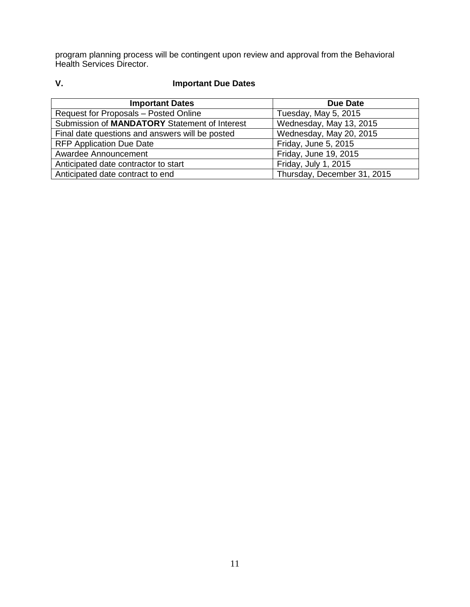program planning process will be contingent upon review and approval from the Behavioral Health Services Director.

# **V. Important Due Dates**

| <b>Important Dates</b>                          | Due Date                    |
|-------------------------------------------------|-----------------------------|
| Request for Proposals - Posted Online           | Tuesday, May 5, 2015        |
| Submission of MANDATORY Statement of Interest   | Wednesday, May 13, 2015     |
| Final date questions and answers will be posted | Wednesday, May 20, 2015     |
| <b>RFP Application Due Date</b>                 | Friday, June 5, 2015        |
| Awardee Announcement                            | Friday, June 19, 2015       |
| Anticipated date contractor to start            | Friday, July 1, 2015        |
| Anticipated date contract to end                | Thursday, December 31, 2015 |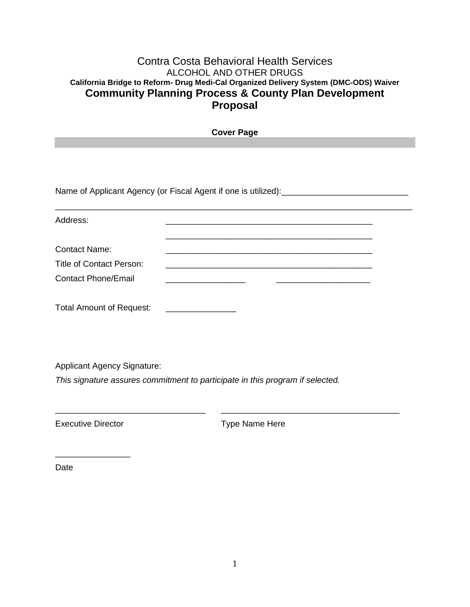# Contra Costa Behavioral Health Services ALCOHOL AND OTHER DRUGS **California Bridge to Reform- Drug Medi-Cal Organized Delivery System (DMC-ODS) Waiver Community Planning Process & County Plan Development Proposal**

| <b>Cover Page</b>                  |                                                                                                                                     |  |  |  |
|------------------------------------|-------------------------------------------------------------------------------------------------------------------------------------|--|--|--|
|                                    |                                                                                                                                     |  |  |  |
|                                    |                                                                                                                                     |  |  |  |
|                                    |                                                                                                                                     |  |  |  |
|                                    | Name of Applicant Agency (or Fiscal Agent if one is utilized): [100] Name of Applicant Agency (or Fiscal Agent if one is utilized): |  |  |  |
|                                    |                                                                                                                                     |  |  |  |
| Address:                           |                                                                                                                                     |  |  |  |
|                                    |                                                                                                                                     |  |  |  |
| <b>Contact Name:</b>               | <u> 1989 - Johann Barn, mars an t-Amerikaansk politiker (* 1908)</u>                                                                |  |  |  |
| <b>Title of Contact Person:</b>    |                                                                                                                                     |  |  |  |
| <b>Contact Phone/Email</b>         | the contract of the contract of the contract of                                                                                     |  |  |  |
|                                    |                                                                                                                                     |  |  |  |
| <b>Total Amount of Request:</b>    | <u> 1989 - Johann Barbara, martin a</u>                                                                                             |  |  |  |
|                                    |                                                                                                                                     |  |  |  |
|                                    |                                                                                                                                     |  |  |  |
|                                    |                                                                                                                                     |  |  |  |
| <b>Applicant Agency Signature:</b> |                                                                                                                                     |  |  |  |
|                                    | This signature assures commitment to participate in this program if selected.                                                       |  |  |  |
|                                    |                                                                                                                                     |  |  |  |
| <b>Executive Director</b>          | Type Name Here                                                                                                                      |  |  |  |
|                                    |                                                                                                                                     |  |  |  |
|                                    |                                                                                                                                     |  |  |  |

Date